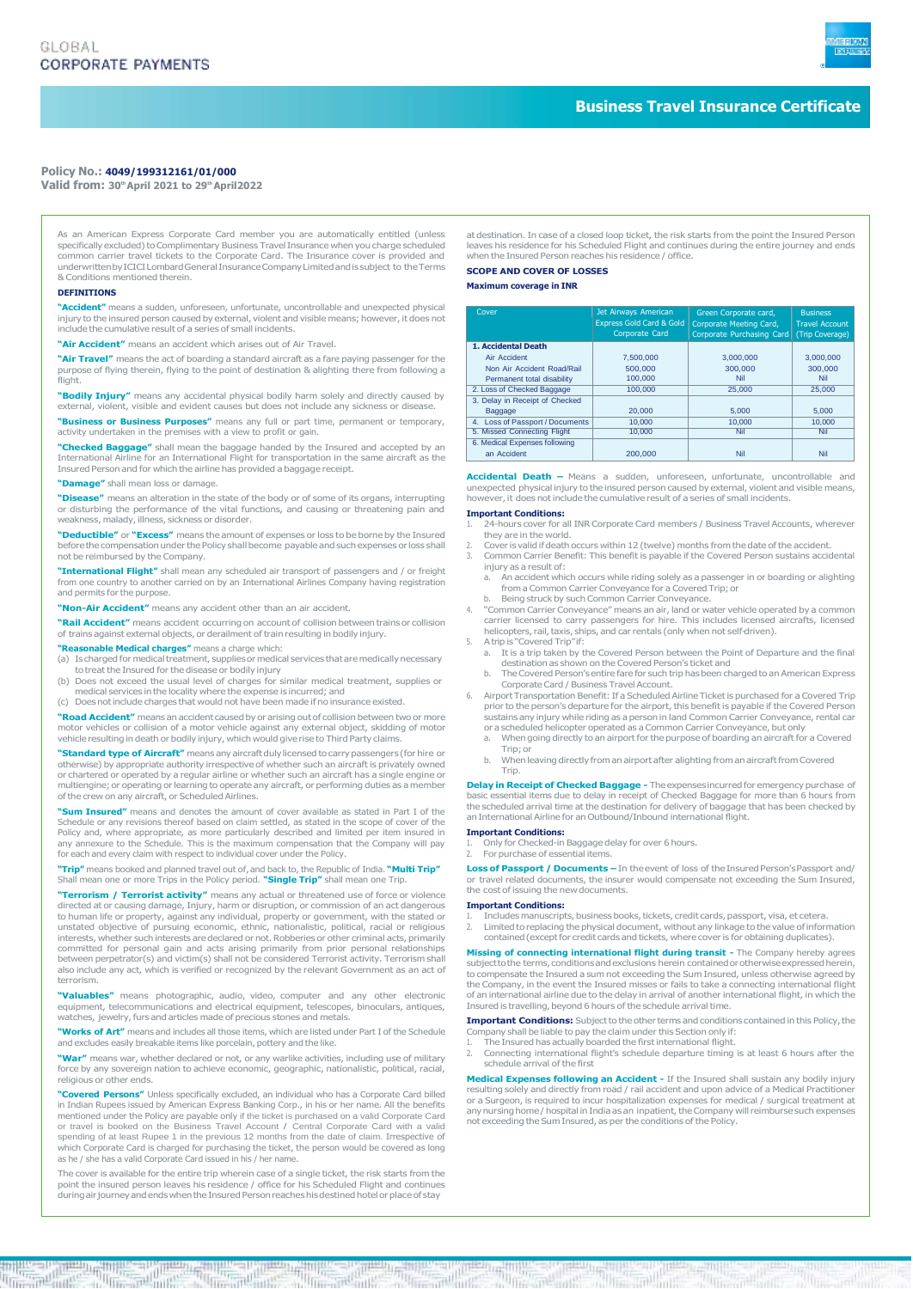# **Policy No.: 4049/199312161/01/000**

```
Valid from: 30thApril 2021 to 29th April2022
```
As an American Express Corporate Card member you are automatically entitled (unless<br>specificallyexcluded)toComplimentaryBusinessTravelInsurance.when.you.charge.scheduled common carrier travel tickets to the Corporate Card. The Insurance cover is provided and underwrittenbyICICILombardGeneralInsuranceCompanyLimitedandissubject to theTerms & Conditions mentioned therein.

# **DEFINITIONS**

**"Accident"** means a sudden, unforeseen, unfortunate, uncontrollable and unexpected physical injury to the insured person caused by external, violent and visible means; however, it does not include the cumulative result of a series of small incidents.

**"Air Accident"** means an accident which arises out of Air Travel.

**"Air Travel"** means the act of boarding a standard aircraft as a fare paying passenger for the purpose of flying therein, flying to the point of destination & alighting there from following a flight.

**"Bodily Injury"** means any accidental physical bodily harm solely and directly caused by external, violent, visible and evident causes but does not include any sickness or disease

**"Business or Business Purposes"** means any full or part time, permanent or temporary, activity undertaken in the premises with a view to profit or gain.

**"Checked Baggage"** shall mean the baggage handed by the Insured and accepted by an International Airline for an International Flight for transportation in the same aircraft as the Insured Person and for which the airline has provided a baggage receipt.

# **"Damage"** shall mean loss or damage.

**"Disease"** means an alteration in the state of the body or of some of its organs, interrupting or disturbing the performance of the vital functions, and causing or threatening pain and weakness, malady, illness, sickness or disorder.

**"Deductible"** or **"Excess"** means the amount of expenses or loss to be borne by the Insured before the compensation under the Policy shall become payable and such expenses or loss shall not be reimbursed by the Company.

**"International Flight"** shall mean any scheduled air transport of passengers and / or freight from one country to another carried on by an International Airlines Company having registration and permits for the purpose.

**"Non-Air Accident"** means any accident other than an air accident.

**"Rail Accident"** means accident occurring on account of collision between trains or collision of trains against external objects, or derailment of train resulting in bodily injury.

**"Reasonable Medical charges"** means a charge which:

(a) Is charged for medicaltreatment, suppliesor medical services that are medically necessary to treat the Insured for the disease or bodily injury

(b) Does not exceed the usual level of charges for similar medical treatment, supplies or medical services in the locality where the expense is incurred; and

(c) Does notinclude charges that would not have been made if no insurance existed.

**"Road Accident"** means an accident caused by or arising out of collision between two or more motor vehicles or collision of a motor vehicle against any external object, skidding of motor vehicle resulting in death or bodily injury, which would give rise to Third Party claims.

**"Standard type of Aircraft"** means any aircraft duly licensed to carry passengers (for hire or otherwise) by appropriate authority irrespective of whether such an aircraft is privately owned or chartered or operated by a regular airline or whether such an aircraft has a single engine or multiengine; or operating orlearning to operate any aircraft, or performing duties as a member of the crew on any aircraft, or Scheduled Airlines.

**"Sum Insured"** means and denotes the amount of cover available as stated in Part I of the Schedule or any revisions thereof based on claim settled, as stated in the scope of cover of the<br>Policy and, where appropriate, as more particularly described and limited per item insured in<br>any annexure to the Schedule. T for each and every claim with respect to individual cover under the Policy.

**"Trip"** means booked and planned travel out of,and back to, the Republic of India. **"Multi Trip"** Shall mean one or more Trips in the Policy period. **"Single Trip"** shall mean one Trip.

**"Terrorism / Terrorist activity"** means any actual or threatened use of force or violence directed at or causing damage, Injury, harm or disruption, or commission of an act dangerous<br>to human life or property, against any individual, property or government, with the stated or<br>unstated objective of pursuing econ committed for personal gain and acts arising primarily from prior personal relationships between perpetrator(s) and victim(s) shall not be considered Terrorist activity. Terrorism shall also include any act, which is verified or recognized by the relevant Government as an act of terrorism.

**"Valuables"** means photographic, audio, video, computer and any other electronic equipment, telecommunications and electrical equipment, telescopes, binoculars, antiques, watches, jewelry, furs and articles made of precious stones and metals.

**"Works of Art"** means and includes all those items, which are listed under Part I of the Schedule and excludes easily breakable items like porcelain, pottery and the like.

**"War"** means war, whether declared or not, or any warlike activities, including use of military force by any sovereign nation to achieve economic, geographic, nationalistic, political, racial, religious or other ends.

**"Covered Persons"** Unless specifically excluded, an individual who has a Corporate Card billed in Indian Rupees issued by American Express Banking Corp., in his or her name. All the benefits mentioned under the Policy are payable only if the ticket is purchased on a valid Corporate Card<br>or travel is booked on the Business Travel Account / Central Corporate Card with a valid<br>spending of at least Rupee 1 in the which Corporate Card is charged for purchasing the ticket, the person would be covered as long as he / she has a valid Corporate Card issued in his / her name.

The cover is available for the entire trip wherein case of a single ticket, the risk starts from the point the insured person leaves his residence / office for his Scheduled Flight and continues duringairjourney and endswhenthe Insured Personreaches hisdestined hotel or place of stay

**Alliance** 

**Times** 

at destination. In case of a closed loop ticket, the risk starts from the point the Insured Person leaves his residence for his Scheduled Flight and continues during the entire journey and ends when the Insured Person reaches his residence / office.

# **SCOPE AND COVER OF LOSSES**

**Maximum coverage in INR**

| Cover                           | Jet Airways American<br><b>Express Gold Card &amp; Gold</b><br>Corporate Card | Green Corporate card,<br>Corporate Meeting Card,<br>Corporate Purchasing Card | <b>Business</b><br><b>Travel Account</b><br>(Trip Coverage) |
|---------------------------------|-------------------------------------------------------------------------------|-------------------------------------------------------------------------------|-------------------------------------------------------------|
| 1. Accidental Death             |                                                                               |                                                                               |                                                             |
| Air Accident                    | 7.500.000                                                                     | 3.000.000                                                                     | 3.000.000                                                   |
| Non Air Accident Road/Rail      | 500.000                                                                       | 300,000                                                                       | 300,000                                                     |
| Permanent total disability      | 100,000                                                                       | Nil                                                                           | Nil                                                         |
| 2. Loss of Checked Baggage      | 100,000                                                                       | 25,000                                                                        | 25,000                                                      |
| 3. Delay in Receipt of Checked  |                                                                               |                                                                               |                                                             |
| <b>Baggage</b>                  | 20,000                                                                        | 5.000                                                                         | 5.000                                                       |
| 4. Loss of Passport / Documents | 10,000                                                                        | 10,000                                                                        | 10,000                                                      |
| 5. Missed Connecting Flight     | 10,000                                                                        | Nil                                                                           | <b>Nil</b>                                                  |
| 6. Medical Expenses following   |                                                                               |                                                                               |                                                             |
| an Accident                     | 200,000                                                                       | Nil                                                                           | Nil                                                         |

**Accidental Death –** Means a sudden, unforeseen, unfortunate, uncontrollable and unexpected physical injury to the insured person caused by external, violent and visible means, however, it does not include the cumulative result of a series of small incidents.

### **Important Conditions:**

- 24-hours cover for all INR Corporate Card members / Business Travel Accounts, wherever they are in the world.
- 2. Cover is valid if death occurs within 12 (twelve) months from the date of the accident.<br>2. Common Carrier Benefit: This henefit is navable if the Covered Person sustains acci 3. Common Carrier Benefit: This benefit is payable if the Covered Person sustains accidental
	- injury as a result of: a. An accident which occurs while riding solely as a passenger in or boarding or alighting from a Common Carrier Conveyance for a Covered Trip; or b. Being struck by such Common Carrier Conveyance.
- 4. "Common Carrier Conveyance" means an air, land or water vehicle operated by a common carrier licensed to carry passengers for hire. This includes licensed aircrafts, licensed helicopters,rail,taxis, ships, and carrentals (only when not self-driven). 5. A trip is "Covered Trip"if:
	-
	- a. It is a trip taken by the Covered Person between the Point of Departure and the final destination as shown on the Covered Person's ticket and b. TheCovered Person's entire fare for such trip has been charged to an American Express
	- Corporate Card / Business Travel Account. Airport Transportation Benefit: If a Scheduled Airline Ticket is purchased for a Covered Trip
- prior to the person's departure for the airport, this benefit is payable if the Covered Person<br>sustains any injury while riding as a person in land Common Carrier Conveyance, rental car<br>or a scheduled helicopter operated a
	- a. When going directly to an airport for the purpose of boarding an aircraft for a Covered Trip; or
- b. When leaving directly from an airport after alighting from an aircraft from Covered Trip.

**Delay in Receipt of Checked Baggage -** The expenses incurred for emergency purchase of basic essential items due to delay in receipt of Checked Baggage for more than 6 hours from the scheduled arrival time at the destination for delivery of baggage that has been checked by an International Airline for an Outbound/Inbound international flight.

## **Important Conditions:**

1. Only for Checked-in Baggage delay for over 6 hours.<br>
Por numbase of essential items

2. For purchase of essential items.

**The Company of the Company** 

Uffre 5

**Loss of Passport / Documents** – In the event of loss of the Insured Person's Passport and/ or travel related documents, the insurer would compensate not exceeding the Sum Insured, the cost of issuing the new documents.

## **Important Conditions:**

1. Includes manuscripts, business books, tickets, credit cards, passport, visa, et cetera.<br>2. Limited to replacing the physical document, without any linkage to the value of inform 2. Limited to replacing the physical document, without any linkage to the value ofinformation contained (exceptfor credit cards and tickets, where coveris for obtaining duplicates).

**Missing of connecting international flight during transit -** The Company hereby agrees subjecttothe terms,conditionsandexclusions herein containedorotherwiseexpressedherein, to compensate the Insured a sum not exceeding the Sum Insured, unless otherwise agreed by the Company, in the event the Insured misses or fails to take a connecting international flight of an international airline due to the delay in arrival of another international flight, in which the Insured is travelling, beyond 6 hours of the schedule arrival time.

**Important Conditions:** Subject to the other terms and conditions contained in this Policy, the Company shall be liable to pay the claim under this Section only if:

1. The Insured has actually boarded the first international flight. 2. Connecting international flight's schedule departure timing is at least 6 hours after the schedule arrival of the first

**Medical Expenses following an Accident -** If the Insured shall sustain any bodily injury resulting solely and directly from road / rail accident and upon advice of a Medical Practitioner<br>or a Surgeon, is required to incur hospitalization expenses for medical / surgical treatment at anynursinghome/ hospital in India as an inpatient, theCompany willreimburse such expenses not exceeding the Sum Insured, as per the conditions of the Policy.